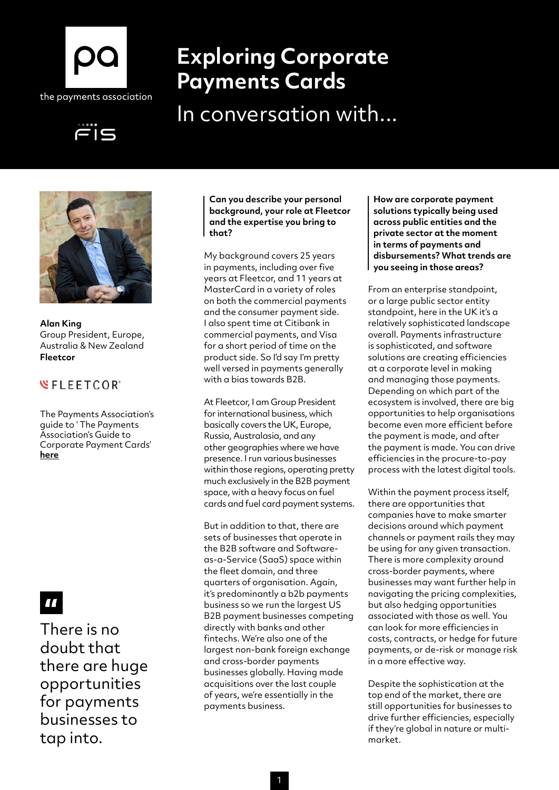

# **Exploring Corporate Payments Cards**

In conversation with...





**Alan King** Group President, Europe, Australia & New Zealand **Fleetcor**

### **WFLEETCOR**<sup>\*</sup>

The Payments Association's guide to ' The Payments Association's Guide to Corporate Payment Cards' **[here](http://here)**

## $\blacksquare$

There is no doubt that there are huge opportunities for payments businesses to tap into.

**Can you describe your personal background, your role at Fleetcor and the expertise you bring to that?**

My background covers 25 years in payments, including over five years at Fleetcor, and 11 years at MasterCard in a variety of roles on both the commercial payments and the consumer payment side. I also spent time at Citibank in commercial payments, and Visa for a short period of time on the product side. So I'd say I'm pretty well versed in payments generally with a bias towards B2B.

At Fleetcor, I am Group President for international business, which basically covers the UK, Europe, Russia, Australasia, and any other geographies where we have presence. I run various businesses within those regions, operating pretty much exclusively in the B2B payment space, with a heavy focus on fuel cards and fuel card payment systems.

But in addition to that, there are sets of businesses that operate in the B2B software and Softwareas-a-Service (SaaS) space within the fleet domain, and three quarters of organisation. Again, it's predominantly a b2b payments business so we run the largest US B2B payment businesses competing directly with banks and other fintechs. We're also one of the largest non-bank foreign exchange and cross-border payments businesses globally. Having made acquisitions over the last couple of years, we're essentially in the payments business.

**How are corporate payment solutions typically being used across public entities and the private sector at the moment in terms of payments and disbursements? What trends are you seeing in those areas?**

From an enterprise standpoint, or a large public sector entity standpoint, here in the UK it's a relatively sophisticated landscape overall. Payments infrastructure is sophisticated, and software solutions are creating efficiencies at a corporate level in making and managing those payments. Depending on which part of the ecosystem is involved, there are big opportunities to help organisations become even more efficient before the payment is made, and after the payment is made. You can drive efficiencies in the procure-to-pay process with the latest digital tools.

Within the payment process itself, there are opportunities that companies have to make smarter decisions around which payment channels or payment rails they may be using for any given transaction. There is more complexity around cross-border payments, where businesses may want further help in navigating the pricing complexities, but also hedging opportunities associated with those as well. You can look for more efficiencies in costs, contracts, or hedge for future payments, or de-risk or manage risk in a more effective way.

Despite the sophistication at the top end of the market, there are still opportunities for businesses to drive further efficiencies, especially if they're global in nature or multimarket.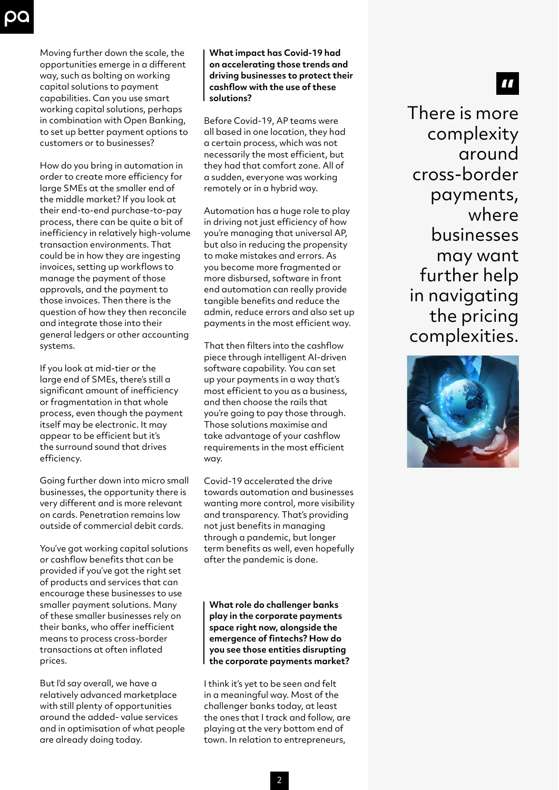Moving further down the scale, the opportunities emerge in a different way, such as bolting on working capital solutions to payment capabilities. Can you use smart working capital solutions, perhaps in combination with Open Banking, to set up better payment options to customers or to businesses?

How do you bring in automation in order to create more efficiency for large SMEs at the smaller end of the middle market? If you look at their end-to-end purchase-to-pay process, there can be quite a bit of inefficiency in relatively high-volume transaction environments. That could be in how they are ingesting invoices, setting up workflows to manage the payment of those approvals, and the payment to those invoices. Then there is the question of how they then reconcile and integrate those into their general ledgers or other accounting systems.

If you look at mid-tier or the large end of SMEs, there's still a significant amount of inefficiency or fragmentation in that whole process, even though the payment itself may be electronic. It may appear to be efficient but it's the surround sound that drives efficiency.

Going further down into micro small businesses, the opportunity there is very different and is more relevant on cards. Penetration remains low outside of commercial debit cards.

You've got working capital solutions or cashflow benefits that can be provided if you've got the right set of products and services that can encourage these businesses to use smaller payment solutions. Many of these smaller businesses rely on their banks, who offer inefficient means to process cross-border transactions at often inflated prices.

But I'd say overall, we have a relatively advanced marketplace with still plenty of opportunities around the added- value services and in optimisation of what people are already doing today.

**What impact has Covid-19 had on accelerating those trends and driving businesses to protect their cashflow with the use of these solutions?**

Before Covid-19, AP teams were all based in one location, they had a certain process, which was not necessarily the most efficient, but they had that comfort zone. All of a sudden, everyone was working remotely or in a hybrid way.

Automation has a huge role to play in driving not just efficiency of how you're managing that universal AP, but also in reducing the propensity to make mistakes and errors. As you become more fragmented or more disbursed, software in front end automation can really provide tangible benefits and reduce the admin, reduce errors and also set up payments in the most efficient way.

That then filters into the cashflow piece through intelligent AI-driven software capability. You can set up your payments in a way that's most efficient to you as a business, and then choose the rails that you're going to pay those through. Those solutions maximise and take advantage of your cashflow requirements in the most efficient way.

Covid-19 accelerated the drive towards automation and businesses wanting more control, more visibility and transparency. That's providing not just benefits in managing through a pandemic, but longer term benefits as well, even hopefully after the pandemic is done.

**What role do challenger banks play in the corporate payments space right now, alongside the emergence of fintechs? How do you see those entities disrupting the corporate payments market?**

I think it's yet to be seen and felt in a meaningful way. Most of the challenger banks today, at least the ones that I track and follow, are playing at the very bottom end of town. In relation to entrepreneurs,

There is more complexity around cross-border payments, where businesses may want further help in navigating the pricing complexities.

77

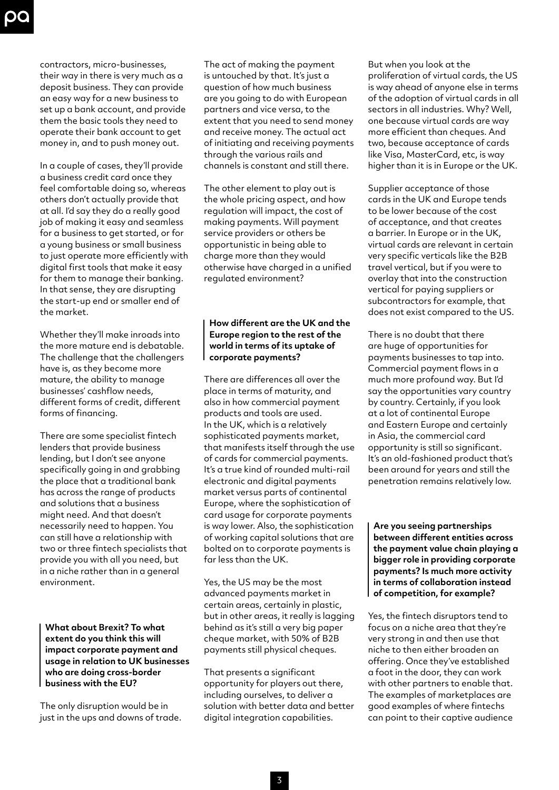contractors, micro-businesses, their way in there is very much as a deposit business. They can provide an easy way for a new business to set up a bank account, and provide them the basic tools they need to operate their bank account to get money in, and to push money out.

In a couple of cases, they'll provide a business credit card once they feel comfortable doing so, whereas others don't actually provide that at all. I'd say they do a really good job of making it easy and seamless for a business to get started, or for a young business or small business to just operate more efficiently with digital first tools that make it easy for them to manage their banking. In that sense, they are disrupting the start-up end or smaller end of the market.

Whether they'll make inroads into the more mature end is debatable. The challenge that the challengers have is, as they become more mature, the ability to manage businesses' cashflow needs, different forms of credit, different forms of financing.

There are some specialist fintech lenders that provide business lending, but I don't see anyone specifically going in and grabbing the place that a traditional bank has across the range of products and solutions that a business might need. And that doesn't necessarily need to happen. You can still have a relationship with two or three fintech specialists that provide you with all you need, but in a niche rather than in a general environment.

**What about Brexit? To what extent do you think this will impact corporate payment and usage in relation to UK businesses who are doing cross-border business with the EU?**

The only disruption would be in just in the ups and downs of trade.

The act of making the payment is untouched by that. It's just a question of how much business are you going to do with European partners and vice versa, to the extent that you need to send money and receive money. The actual act of initiating and receiving payments through the various rails and channels is constant and still there.

The other element to play out is the whole pricing aspect, and how regulation will impact, the cost of making payments. Will payment service providers or others be opportunistic in being able to charge more than they would otherwise have charged in a unified regulated environment?

### **How different are the UK and the Europe region to the rest of the world in terms of its uptake of corporate payments?**

There are differences all over the place in terms of maturity, and also in how commercial payment products and tools are used. In the UK, which is a relatively sophisticated payments market, that manifests itself through the use of cards for commercial payments. It's a true kind of rounded multi-rail electronic and digital payments market versus parts of continental Europe, where the sophistication of card usage for corporate payments is way lower. Also, the sophistication of working capital solutions that are bolted on to corporate payments is far less than the UK.

Yes, the US may be the most advanced payments market in certain areas, certainly in plastic, but in other areas, it really is lagging behind as it's still a very big paper cheque market, with 50% of B2B payments still physical cheques.

That presents a significant opportunity for players out there, including ourselves, to deliver a solution with better data and better digital integration capabilities.

But when you look at the proliferation of virtual cards, the US is way ahead of anyone else in terms of the adoption of virtual cards in all sectors in all industries. Why? Well, one because virtual cards are way more efficient than cheques. And two, because acceptance of cards like Visa, MasterCard, etc, is way higher than it is in Europe or the UK.

Supplier acceptance of those cards in the UK and Europe tends to be lower because of the cost of acceptance, and that creates a barrier. In Europe or in the UK, virtual cards are relevant in certain very specific verticals like the B2B travel vertical, but if you were to overlay that into the construction vertical for paying suppliers or subcontractors for example, that does not exist compared to the US.

There is no doubt that there are huge of opportunities for payments businesses to tap into. Commercial payment flows in a much more profound way. But I'd say the opportunities vary country by country. Certainly, if you look at a lot of continental Europe and Eastern Europe and certainly in Asia, the commercial card opportunity is still so significant. It's an old-fashioned product that's been around for years and still the penetration remains relatively low.

**Are you seeing partnerships between different entities across the payment value chain playing a bigger role in providing corporate payments? Is much more activity in terms of collaboration instead of competition, for example?**

Yes, the fintech disruptors tend to focus on a niche area that they're very strong in and then use that niche to then either broaden an offering. Once they've established a foot in the door, they can work with other partners to enable that. The examples of marketplaces are good examples of where fintechs can point to their captive audience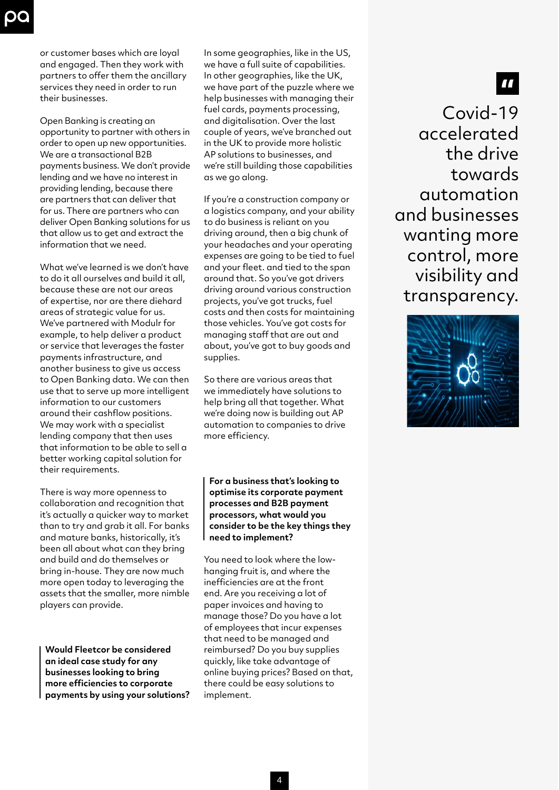or customer bases which are loyal and engaged. Then they work with partners to offer them the ancillary services they need in order to run their businesses.

Open Banking is creating an opportunity to partner with others in order to open up new opportunities. We are a transactional B2B payments business. We don't provide lending and we have no interest in providing lending, because there are partners that can deliver that for us. There are partners who can deliver Open Banking solutions for us that allow us to get and extract the information that we need.

What we've learned is we don't have to do it all ourselves and build it all, because these are not our areas of expertise, nor are there diehard areas of strategic value for us. We've partnered with Modulr for example, to help deliver a product or service that leverages the faster payments infrastructure, and another business to give us access to Open Banking data. We can then use that to serve up more intelligent information to our customers around their cashflow positions. We may work with a specialist lending company that then uses that information to be able to sell a better working capital solution for their requirements.

There is way more openness to collaboration and recognition that it's actually a quicker way to market than to try and grab it all. For banks and mature banks, historically, it's been all about what can they bring and build and do themselves or bring in-house. They are now much more open today to leveraging the assets that the smaller, more nimble players can provide.

**Would Fleetcor be considered an ideal case study for any businesses looking to bring more efficiencies to corporate payments by using your solutions?** In some geographies, like in the US, we have a full suite of capabilities. In other geographies, like the UK, we have part of the puzzle where we help businesses with managing their fuel cards, payments processing, and digitalisation. Over the last couple of years, we've branched out in the UK to provide more holistic AP solutions to businesses, and we're still building those capabilities as we go along.

If you're a construction company or a logistics company, and your ability to do business is reliant on you driving around, then a big chunk of your headaches and your operating expenses are going to be tied to fuel and your fleet. and tied to the span around that. So you've got drivers driving around various construction projects, you've got trucks, fuel costs and then costs for maintaining those vehicles. You've got costs for managing staff that are out and about, you've got to buy goods and supplies.

So there are various areas that we immediately have solutions to help bring all that together. What we're doing now is building out AP automation to companies to drive more efficiency.

#### **For a business that's looking to optimise its corporate payment processes and B2B payment processors, what would you consider to be the key things they need to implement?**

You need to look where the lowhanging fruit is, and where the inefficiencies are at the front end. Are you receiving a lot of paper invoices and having to manage those? Do you have a lot of employees that incur expenses that need to be managed and reimbursed? Do you buy supplies quickly, like take advantage of online buying prices? Based on that, there could be easy solutions to implement.

Covid-19 accelerated the drive towards automation and businesses wanting more control, more visibility and transparency.

77